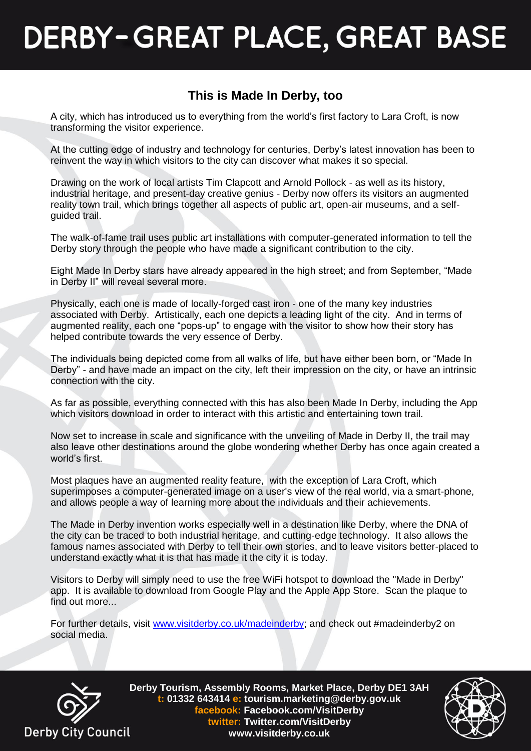## **DERBY-GREAT PLACE, GREAT BASE**

## **This is Made In Derby, too**

A city, which has introduced us to everything from the world's first factory to Lara Croft, is now transforming the visitor experience.

At the cutting edge of industry and technology for centuries, Derby's latest innovation has been to reinvent the way in which visitors to the city can discover what makes it so special.

Drawing on the work of local artists Tim Clapcott and Arnold Pollock - as well as its history, industrial heritage, and present-day creative genius - Derby now offers its visitors an augmented reality town trail, which brings together all aspects of public art, open-air museums, and a selfguided trail.

The walk-of-fame trail uses public art installations with computer-generated information to tell the Derby story through the people who have made a significant contribution to the city.

Eight Made In Derby stars have already appeared in the high street; and from September, "Made in Derby II" will reveal several more.

Physically, each one is made of locally-forged cast iron - one of the many key industries associated with Derby. Artistically, each one depicts a leading light of the city. And in terms of augmented reality, each one "pops-up" to engage with the visitor to show how their story has helped contribute towards the very essence of Derby.

The individuals being depicted come from all walks of life, but have either been born, or "Made In Derby" - and have made an impact on the city, left their impression on the city, or have an intrinsic connection with the city.

As far as possible, everything connected with this has also been Made In Derby, including the App which visitors download in order to interact with this artistic and entertaining town trail.

Now set to increase in scale and significance with the unveiling of Made in Derby II, the trail may also leave other destinations around the globe wondering whether Derby has once again created a world's first.

Most plaques have an augmented reality feature, with the exception of Lara Croft, which superimposes a computer-generated image on a user's view of the real world, via a smart-phone, and allows people a way of learning more about the individuals and their achievements.

The Made in Derby invention works especially well in a destination like Derby, where the DNA of the city can be traced to both industrial heritage, and cutting-edge technology. It also allows the famous names associated with Derby to tell their own stories, and to leave visitors better-placed to understand exactly what it is that has made it the city it is today.

Visitors to Derby will simply need to use the free WiFi hotspot to download the "Made in Derby" app. It is available to download from Google Play and the Apple App Store. Scan the plaque to find out more...

For further details, visit [www.visitderby.co.uk/madeinderby;](http://www.visitderby.co.uk/madeinderby) and check out #madeinderby2 on social media.



**Derby Tourism, Assembly Rooms, Market Place, Derby DE1 3AH t: 01332 643414 e: tourism.marketing@derby.gov.uk facebook: Facebook.com/VisitDerby twitter: Twitter.com/VisitDerby www.visitderby.co.uk**